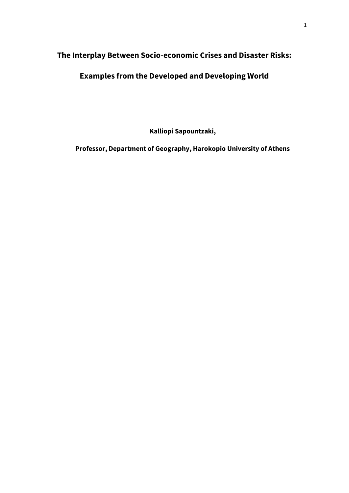**The Interplay Between Socio-economic Crises and Disaster Risks:** 

# **Examples from the Developed and Developing World**

**Kalliopi Sapountzaki,** 

**Professor, Department of Geography, Harokopio University of Athens**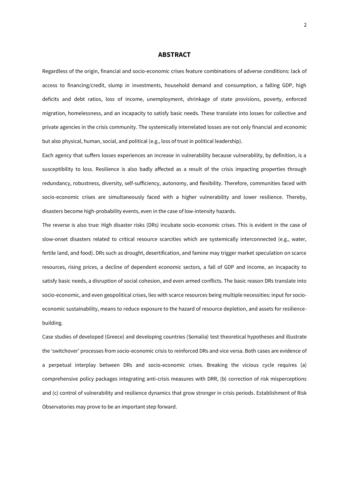### **ABSTRACT**

Regardless of the origin, financial and socio-economic crises feature combinations of adverse conditions: lack of access to financing/credit, slump in investments, household demand and consumption, a falling GDP, high deficits and debt ratios, loss of income, unemployment, shrinkage of state provisions, poverty, enforced migration, homelessness, and an incapacity to satisfy basic needs. These translate into losses for collective and private agencies in the crisis community. The systemically interrelated losses are not only financial and economic but also physical, human, social, and political (e.g., loss of trust in political leadership).

Each agency that suffers losses experiences an increase in vulnerability because vulnerability, by definition, is a susceptibility to loss. Resilience is also badly affected as a result of the crisis impacting properties through redundancy, robustness, diversity, self-sufficiency, autonomy, and flexibility. Therefore, communities faced with socio-economic crises are simultaneously faced with a higher vulnerability and lower resilience. Thereby, disasters become high-probability events, even in the case of low-intensity hazards.

The reverse is also true: High disaster risks (DRs) incubate socio-economic crises. This is evident in the case of slow-onset disasters related to critical resource scarcities which are systemically interconnected (e.g., water, fertile land, and food). DRs such as drought, desertification, and famine may trigger market speculation on scarce resources, rising prices, a decline of dependent economic sectors, a fall of GDP and income, an incapacity to satisfy basic needs, a disruption of social cohesion, and even armed conflicts. The basic reason DRs translate into socio-economic, and even geopolitical crises, lies with scarce resources being multiple necessities: input for socioeconomic sustainability, means to reduce exposure to the hazard of resource depletion, and assets for resiliencebuilding.

Case studies of developed (Greece) and developing countries (Somalia) test theoretical hypotheses and illustrate the 'switchover' processes from socio-economic crisis to reinforced DRs and vice versa. Both cases are evidence of a perpetual interplay between DRs and socio-economic crises. Breaking the vicious cycle requires (a) comprehensive policy packages integrating anti-crisis measures with DRR, (b) correction of risk misperceptions and (c) control of vulnerability and resilience dynamics that grow stronger in crisis periods. Establishment of Risk Observatories may prove to be an important step forward.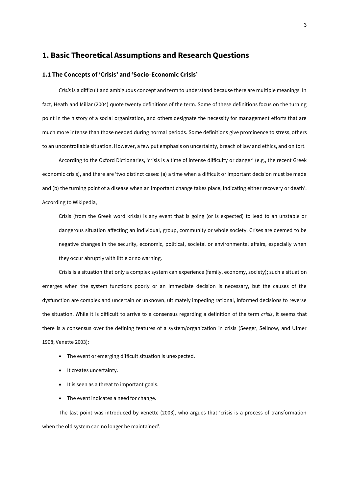# **1. Basic Theoretical Assumptions and Research Questions**

### **1.1 The Concepts of 'Crisis' and 'Socio-Economic Crisis'**

*Crisis* is a difficult and ambiguous concept and term to understand because there are multiple meanings. In fact, Heath and Millar (2004) quote twenty definitions of the term. Some of these definitions focus on the turning point in the history of a social organization, and others designate the necessity for management efforts that are much more intense than those needed during normal periods. Some definitions give prominence to stress, others to an uncontrollable situation. However, a few put emphasis on uncertainty, breach of law and ethics, and on tort.

According to the Oxford Dictionaries, 'crisis is a time of intense difficulty or danger' (e.g., the recent Greek economic crisis), and there are 'two distinct cases: (a) a time when a difficult or important decision must be made and (b) the turning point of a disease when an important change takes place, indicating either recovery or death'. According to Wikipedia,

Crisis (from the Greek word krisis) is any event that is going (or is expected) to lead to an unstable or dangerous situation affecting an individual, group, community or whole society. Crises are deemed to be negative changes in the security, economic, political, societal or environmental affairs, especially when they occur abruptly with little or no warning.

Crisis is a situation that only a complex system can experience (family, economy, society); such a situation emerges when the system functions poorly or an immediate decision is necessary, but the causes of the dysfunction are complex and uncertain or unknown, ultimately impeding rational, informed decisions to reverse the situation. While it is difficult to arrive to a consensus regarding a definition of the term *crisis*, it seems that there is a consensus over the defining features of a system/organization in crisis (Seeger, Sellnow, and Ulmer 1998; Venette 2003):

- The event or emerging difficult situation is unexpected.
- It creates uncertainty.
- It is seen as a threat to important goals.
- The event indicates a need for change.

The last point was introduced by Venette (2003), who argues that 'crisis is a process of transformation when the old system can no longer be maintained'.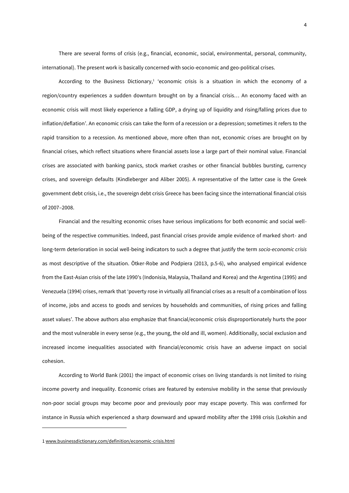There are several forms of crisis (e.g., financial, economic, social, environmental, personal, community, international). The present work is basically concerned with socio-economic and geo-political crises.

According to the Business Dictionary,<sup>1</sup> 'economic crisis is a situation in which the economy of a region/country experiences a sudden downturn brought on by a financial crisis… An economy faced with an economic crisis will most likely experience a falling GDP, a drying up of liquidity and rising/falling prices due to inflation/deflation'. An economic crisis can take the form of a recession or a depression; sometimes it refers to the rapid transition to a recession. As mentioned above, more often than not, economic crises are brought on by financial crises, which reflect situations where financial assets lose a large part of their nominal value. Financial crises are associated with banking panics, stock market crashes or other financial bubbles bursting, currency crises, and sovereign defaults (Kindleberger and Aliber 2005). A representative of the latter case is the Greek government debt crisis, i.e., the sovereign debt crisis Greece has been facing since the international financial crisis of 2007–2008.

Financial and the resulting economic crises have serious implications for both economic and social wellbeing of the respective communities. Indeed, past financial crises provide ample evidence of marked short- and long-term deterioration in social well-being indicators to such a degree that justify the term *socio-economic crisis* as most descriptive of the situation. Ötker-Robe and Podpiera (2013, p.5-6), who analysed empirical evidence from the East-Asian crisis of the late 1990's (Indonisia, Malaysia, Thailand and Korea) and the Argentina (1995) and Venezuela (1994) crises, remark that 'poverty rose in virtually all financial crises as a result of a combination of loss of income, jobs and access to goods and services by households and communities, of rising prices and falling asset values'. The above authors also emphasize that financial/economic crisis disproportionately hurts the poor and the most vulnerable in every sense (e.g., the young, the old and ill, women). Additionally, social exclusion and increased income inequalities associated with financial/economic crisis have an adverse impact on social cohesion.

According to World Bank (2001) the impact of economic crises on living standards is not limited to rising income poverty and inequality. Economic crises are featured by extensive mobility in the sense that previously non-poor social groups may become poor and previously poor may escape poverty. This was confirmed for instance in Russia which experienced a sharp downward and upward mobility after the 1998 crisis (Lokshin and

1

<sup>1</sup> [www.businessdictionary.com/definition/economic-crisis.html](http://www.businessdictionary.com/definition/economic-crisis.html)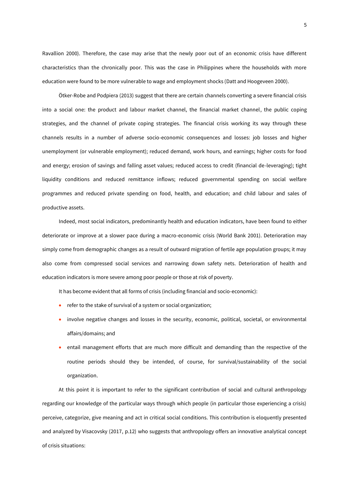Ravallion 2000). Therefore, the case may arise that the newly poor out of an economic crisis have different characteristics than the chronically poor. This was the case in Philippines where the households with more education were found to be more vulnerable to wage and employment shocks (Datt and Hoogeveen 2000).

Ötker-Robe and Podpiera (2013) suggest that there are certain channels converting a severe financial crisis into a social one: the product and labour market channel, the financial market channel, the public coping strategies, and the channel of private coping strategies. The financial crisis working its way through these channels results in a number of adverse socio-economic consequences and losses: job losses and higher unemployment (or vulnerable employment); reduced demand, work hours, and earnings; higher costs for food and energy; erosion of savings and falling asset values; reduced access to credit (financial de-leveraging); tight liquidity conditions and reduced remittance inflows; reduced governmental spending on social welfare programmes and reduced private spending on food, health, and education; and child labour and sales of productive assets.

Indeed, most social indicators, predominantly health and education indicators, have been found to either deteriorate or improve at a slower pace during a macro-economic crisis (World Bank 2001). Deterioration may simply come from demographic changes as a result of outward migration of fertile age population groups; it may also come from compressed social services and narrowing down safety nets. Deterioration of health and education indicators is more severe among poor people or those at risk of poverty.

It has become evident that all forms of crisis (including financial and socio-economic):

- refer to the stake of survival of a system or social organization;
- involve negative changes and losses in the security, economic, political, societal, or environmental affairs/domains; and
- entail management efforts that are much more difficult and demanding than the respective of the routine periods should they be intended, of course, for survival/sustainability of the social organization.

At this point it is important to refer to the significant contribution of social and cultural anthropology regarding our knowledge of the particular ways through which people (in particular those experiencing a crisis) perceive, categorize, give meaning and act in critical social conditions. This contribution is eloquently presented and analyzed by Visacovsky (2017, p.12) who suggests that anthropology offers an innovative analytical concept of crisis situations: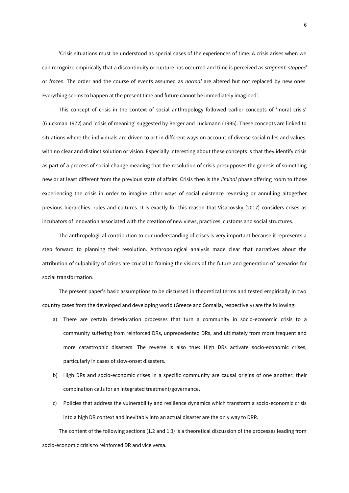'Crisis situations must be understood as special cases of the experiences of time. A crisis arises when we can recognize empirically that a discontinuity or rupture has occurred and time is perceived as *stagnant, stopped*  or *frozen.* The order and the course of events assumed as *normal* are altered but not replaced by new ones. Everything seems to happen at the present time and future cannot be immediately imagined'.

This concept of crisis in the context of social anthropology followed earlier concepts of 'moral crisis' (Gluckman 1972) and 'crisis of meaning' suggested by Berger and Luckmann (1995). These concepts are linked to situations where the individuals are driven to act in different ways on account of diverse social rules and values, with no clear and distinct solution or vision. Especially interesting about these concepts is that they identify crisis as part of a process of social change meaning that the resolution of crisis presupposes the genesis of something new or at least different from the previous state of affairs. Crisis then is the *liminal* phase offering room to those experiencing the crisis in order to imagine other ways of social existence reversing or annulling altogether previous hierarchies, rules and cultures. It is exactly for this reason that Visacovsky (2017) considers crises as incubators of innovation associated with the creation of new views, practices, customs and social structures.

The anthropological contribution to our understanding of crises is very important because it represents a step forward to planning their resolution. Anthropological analysis made clear that narratives about the attribution of culpability of crises are crucial to framing the visions of the future and generation of scenarios for social transformation.

The present paper's basic assumptions to be discussed in theoretical terms and tested empirically in two country cases from the developed and developing world (Greece and Somalia, respectively) are the following:

- a) There are certain deterioration processes that turn a community in socio-economic crisis to a community suffering from reinforced DRs, unprecedented DRs, and ultimately from more frequent and more catastrophic disasters. The reverse is also true: High DRs activate socio-economic crises, particularly in cases of slow-onset disasters.
- b) High DRs and socio-economic crises in a specific community are causal origins of one another; their combination calls for an integrated treatment/governance.
- c) Policies that address the vulnerability and resilience dynamics which transform a socio-economic crisis into a high DR context and inevitably into an actual disaster are the only way to DRR.

The content of the following sections (1.2 and 1.3) is a theoretical discussion of the processes leading from socio-economic crisis to reinforced DR and vice versa.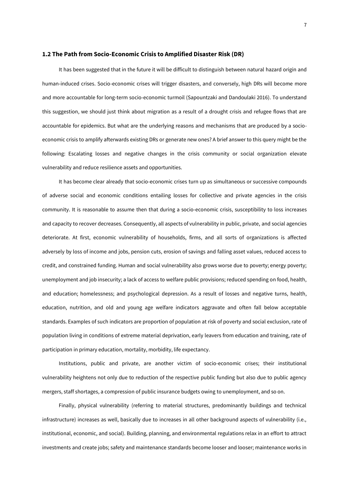#### **1.2 The Path from Socio-Economic Crisis to Amplified Disaster Risk (DR)**

It has been suggested that in the future it will be difficult to distinguish between natural hazard origin and human-induced crises. Socio-economic crises will trigger disasters, and conversely, high DRs will become more and more accountable for long-term socio-economic turmoil (Sapountzaki and Dandoulaki 2016). To understand this suggestion, we should just think about migration as a result of a drought crisis and refugee flows that are accountable for epidemics. But what are the underlying reasons and mechanisms that are produced by a socioeconomic crisis to amplify afterwards existing DRs or generate new ones? A brief answer to this query might be the following: Escalating losses and negative changes in the crisis community or social organization elevate vulnerability and reduce resilience assets and opportunities.

It has become clear already that socio-economic crises turn up as simultaneous or successive compounds of adverse social and economic conditions entailing losses for collective and private agencies in the crisis community. It is reasonable to assume then that during a socio-economic crisis, susceptibility to loss increases and capacity to recover decreases. Consequently, all aspects of vulnerability in public, private, and social agencies deteriorate. At first, economic vulnerability of households, firms, and all sorts of organizations is affected adversely by loss of income and jobs, pension cuts, erosion of savings and falling asset values, reduced access to credit, and constrained funding. Human and social vulnerability also grows worse due to poverty; energy poverty; unemployment and job insecurity; a lack of access to welfare public provisions; reduced spending on food, health, and education; homelessness; and psychological depression. As a result of losses and negative turns, health, education, nutrition, and old and young age welfare indicators aggravate and often fall below acceptable standards. Examples of such indicators are proportion of population at risk of poverty and social exclusion, rate of population living in conditions of extreme material deprivation, early leavers from education and training, rate of participation in primary education, mortality, morbidity, life expectancy.

Institutions, public and private, are another victim of socio-economic crises; their institutional vulnerability heightens not only due to reduction of the respective public funding but also due to public agency mergers, staff shortages, a compression of public insurance budgets owing to unemployment, and so on.

Finally, physical vulnerability (referring to material structures, predominantly buildings and technical infrastructure) increases as well, basically due to increases in all other background aspects of vulnerability (i.e., institutional, economic, and social). Building, planning, and environmental regulations relax in an effort to attract investments and create jobs; safety and maintenance standards become looser and looser; maintenance works in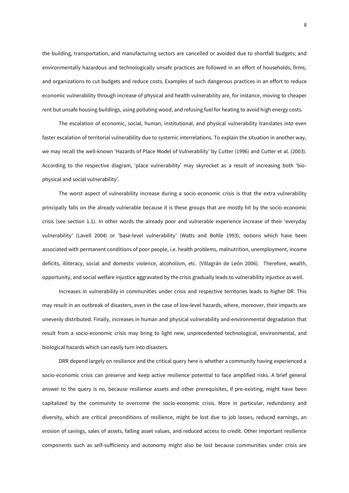the building, transportation, and manufacturing sectors are cancelled or avoided due to shortfall budgets; and environmentally hazardous and technologically unsafe practices are followed in an effort of households, firms, and organizations to cut budgets and reduce costs. Examples of such dangerous practices in an effort to reduce economic vulnerability through increase of physical and health vulnerability are, for instance, moving to cheaper rent but unsafe housing buildings, using polluting wood, and refusing fuel for heating to avoid high energy costs.

The escalation of economic, social, human, institutional, and physical vulnerability translates into even faster escalation of territorial vulnerability due to systemic interrelations. To explain the situation in another way, we may recall the well-known 'Hazards of Place Model of Vulnerability' by Cutter (1996) and Cutter et al. (2003). According to the respective diagram, 'place vulnerability' may skyrocket as a result of increasing both 'biophysical and social vulnerability'.

The worst aspect of vulnerability increase during a socio-economic crisis is that the extra vulnerability principally falls on the already vulnerable because it is these groups that are mostly hit by the socio-economic crisis (see section 1.1). In other words the already poor and vulnerable experience increase of their 'everyday vulnerability' (Lavell 2004) or 'base-level vulnerability' (Watts and Bohle 1993), notions which have been associated with permanent conditions of poor people, i.e. health problems, malnutrition, unemployment, income deficits, illiteracy, social and domestic violence, alcoholism, etc. (Villagrán de León 2006). Therefore, wealth, opportunity, and social welfare injustice aggravated by the crisis gradually leads to vulnerability injustice as well.

Increases in vulnerability in communities under crisis and respective territories leads to higher DR. This may result in an outbreak of disasters, even in the case of low-level hazards, where, moreover, their impacts are unevenly distributed. Finally, increases in human and physical vulnerability and environmental degradation that result from a socio-economic crisis may bring to light new, unprecedented technological, environmental, and biological hazards which can easily turn into disasters.

DRR depend largely on resilience and the critical query here is whether a community having experienced a socio-economic crisis can preserve and keep active resilience potential to face amplified risks. A brief general answer to the query is no, because resilience assets and other prerequisites, if pre-existing, might have been capitalized by the community to overcome the socio-economic crisis. More in particular, redundancy and diversity, which are critical preconditions of resilience, might be lost due to job losses, reduced earnings, an erosion of savings, sales of assets, falling asset values, and reduced access to credit. Other important resilience components such as self-sufficiency and autonomy might also be lost because communities under crisis are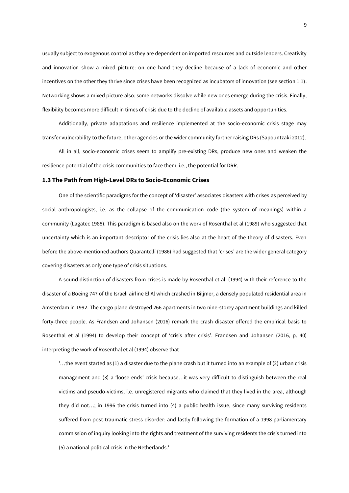usually subject to exogenous control as they are dependent on imported resources and outside lenders. Creativity and innovation show a mixed picture: on one hand they decline because of a lack of economic and other incentives on the other they thrive since crises have been recognized as incubators of innovation (see section 1.1). Networking shows a mixed picture also: some networks dissolve while new ones emerge during the crisis. Finally, flexibility becomes more difficult in times of crisis due to the decline of available assets and opportunities.

Additionally, private adaptations and resilience implemented at the socio-economic crisis stage may transfer vulnerability to the future, other agencies or the wider community further raising DRs (Sapountzaki 2012).

All in all, socio-economic crises seem to amplify pre-existing DRs, produce new ones and weaken the resilience potential of the crisis communities to face them, i.e., the potential for DRR.

#### **1.3 The Path from High-Level DRs to Socio-Economic Crises**

One of the scientific paradigms for the concept of 'disaster' associates disasters with crises as perceived by social anthropologists, i.e. as the collapse of the communication code (the system of meanings) within a community (Lagatec 1988). This paradigm is based also on the work of Rosenthal et al (1989) who suggested that uncertainty which is an important descriptor of the crisis lies also at the heart of the theory of disasters. Even before the above-mentioned authors Quarantelli (1986) had suggested that 'crises' are the wider general category covering disasters as only one type of crisis situations.

A sound distinction of disasters from crises is made by Rosenthal et al. (1994) with their reference to the disaster of a Boeing 747 of the Israeli airline El Al which crashed in Biljmer, a densely populated residential area in Amsterdam in 1992. The cargo plane destroyed 266 apartments in two nine-storey apartment buildings and killed forty-three people. As Frandsen and Johansen (2016) remark the crash disaster offered the empirical basis to Rosenthal et al (1994) to develop their concept of 'crisis after crisis'. Frandsen and Johansen (2016, p. 40) interpreting the work of Rosenthal et al (1994) observe that

'…the event started as (1) a disaster due to the plane crash but it turned into an example of (2) urban crisis management and (3) a 'loose ends' crisis because…it was very difficult to distinguish between the real victims and pseudo-victims, i.e. unregistered migrants who claimed that they lived in the area, although they did not…; in 1996 the crisis turned into (4) a public health issue, since many surviving residents suffered from post-traumatic stress disorder; and lastly following the formation of a 1998 parliamentary commission of inquiry looking into the rights and treatment of the surviving residents the crisis turned into (5) a national political crisis in the Netherlands.'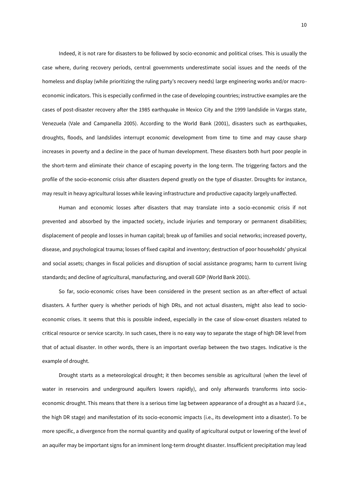Indeed, it is not rare for disasters to be followed by socio-economic and political crises. This is usually the case where, during recovery periods, central governments underestimate social issues and the needs of the homeless and display (while prioritizing the ruling party's recovery needs) large engineering works and/or macroeconomic indicators. This is especially confirmed in the case of developing countries; instructive examples are the cases of post-disaster recovery after the 1985 earthquake in Mexico City and the 1999 landslide in Vargas state, Venezuela (Vale and Campanella 2005). According to the World Bank (2001), disasters such as earthquakes, droughts, floods, and landslides interrupt economic development from time to time and may cause sharp increases in poverty and a decline in the pace of human development. These disasters both hurt poor people in the short-term and eliminate their chance of escaping poverty in the long-term. The triggering factors and the profile of the socio-economic crisis after disasters depend greatly on the type of disaster. Droughts for instance, may result in heavy agricultural losses while leaving infrastructure and productive capacity largely unaffected.

Human and economic losses after disasters that may translate into a socio-economic crisis if not prevented and absorbed by the impacted society, include injuries and temporary or permanent disabilities; displacement of people and losses in human capital; break up of families and social networks; increased poverty, disease, and psychological trauma; losses of fixed capital and inventory; destruction of poor households' physical and social assets; changes in fiscal policies and disruption of social assistance programs; harm to current living standards; and decline of agricultural, manufacturing, and overall GDP (World Bank 2001).

So far, socio-economic crises have been considered in the present section as an after-effect of actual disasters. A further query is whether periods of high DRs, and not actual disasters, might also lead to socioeconomic crises. It seems that this is possible indeed, especially in the case of slow-onset disasters related to critical resource or service scarcity. In such cases, there is no easy way to separate the stage of high DR level from that of actual disaster. In other words, there is an important overlap between the two stages. Indicative is the example of drought.

Drought starts as a meteorological drought; it then becomes sensible as agricultural (when the level of water in reservoirs and underground aquifers lowers rapidly), and only afterwards transforms into socioeconomic drought. This means that there is a serious time lag between appearance of a drought as a hazard (i.e., the high DR stage) and manifestation of its socio-economic impacts (i.e., its development into a disaster). To be more specific, a divergence from the normal quantity and quality of agricultural output or lowering of the level of an aquifer may be important signs for an imminent long-term drought disaster. Insufficient precipitation may lead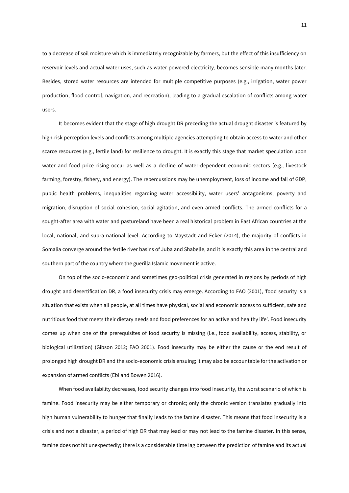to a decrease of soil moisture which is immediately recognizable by farmers, but the effect of this insufficiency on reservoir levels and actual water uses, such as water powered electricity, becomes sensible many months later. Besides, stored water resources are intended for multiple competitive purposes (e.g., irrigation, water power production, flood control, navigation, and recreation), leading to a gradual escalation of conflicts among water users.

It becomes evident that the stage of high drought DR preceding the actual drought disaster is featured by high-risk perception levels and conflicts among multiple agencies attempting to obtain access to water and other scarce resources (e.g., fertile land) for resilience to drought. It is exactly this stage that market speculation upon water and food price rising occur as well as a decline of water-dependent economic sectors (e.g., livestock farming, forestry, fishery, and energy). The repercussions may be unemployment, loss of income and fall of GDP, public health problems, inequalities regarding water accessibility, water users' antagonisms, poverty and migration, disruption of social cohesion, social agitation, and even armed conflicts. The armed conflicts for a sought-after area with water and pastureland have been a real historical problem in East African countries at the local, national, and supra-national level. According to Maystadt and Ecker (2014), the majority of conflicts in Somalia converge around the fertile river basins of Juba and Shabelle, and it is exactly this area in the central and southern part of the country where the guerilla Islamic movement is active.

On top of the socio-economic and sometimes geo-political crisis generated in regions by periods of high drought and desertification DR, a food insecurity crisis may emerge. According to FAO (2001), 'food security is a situation that exists when all people, at all times have physical, social and economic access to sufficient, safe and nutritious food that meets their dietary needs and food preferences for an active and healthy life'. Food insecurity comes up when one of the prerequisites of food security is missing (i.e., food availability, access, stability, or biological utilization) (Gibson 2012; FAO 2001). Food insecurity may be either the cause or the end result of prolonged high drought DR and the socio-economic crisis ensuing; it may also be accountable for the activation or expansion of armed conflicts (Ebi and Bowen 2016).

When food availability decreases, food security changes into food insecurity, the worst scenario of which is famine. Food insecurity may be either temporary or chronic; only the chronic version translates gradually into high human vulnerability to hunger that finally leads to the famine disaster. This means that food insecurity is a crisis and not a disaster, a period of high DR that may lead or may not lead to the famine disaster. In this sense, famine does not hit unexpectedly; there is a considerable time lag between the prediction of famine and its actual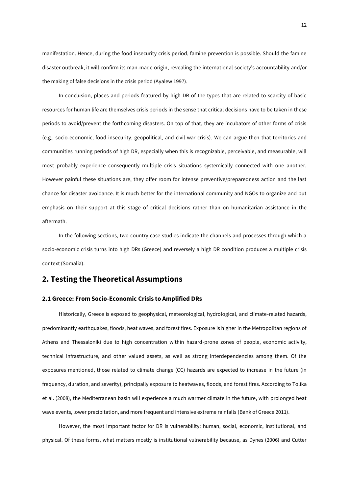manifestation. Hence, during the food insecurity crisis period, famine prevention is possible. Should the famine disaster outbreak, it will confirm its man-made origin, revealing the international society's accountability and/or the making of false decisions in the crisis period (Ayalew 1997).

In conclusion, places and periods featured by high DR of the types that are related to scarcity of basic resources for human life are themselves crisis periods in the sense that critical decisions have to be taken in these periods to avoid/prevent the forthcoming disasters. On top of that, they are incubators of other forms of crisis (e.g., socio-economic, food insecurity, geopolitical, and civil war crisis). We can argue then that territories and communities running periods of high DR, especially when this is recognizable, perceivable, and measurable, will most probably experience consequently multiple crisis situations systemically connected with one another. However painful these situations are, they offer room for intense preventive/preparedness action and the last chance for disaster avoidance. It is much better for the international community and NGOs to organize and put emphasis on their support at this stage of critical decisions rather than on humanitarian assistance in the aftermath.

In the following sections, two country case studies indicate the channels and processes through which a socio-economic crisis turns into high DRs (Greece) and reversely a high DR condition produces a multiple crisis context (Somalia).

# **2. Testing the Theoretical Assumptions**

### **2.1 Greece: From Socio-Economic Crisis to Amplified DRs**

Historically, Greece is exposed to geophysical, meteorological, hydrological, and climate-related hazards, predominantly earthquakes, floods, heat waves, and forest fires. Exposure is higher in the Metropolitan regions of Athens and Thessaloniki due to high concentration within hazard-prone zones of people, economic activity, technical infrastructure, and other valued assets, as well as strong interdependencies among them. Of the exposures mentioned, those related to climate change (CC) hazards are expected to increase in the future (in frequency, duration, and severity), principally exposure to heatwaves, floods, and forest fires. According to Tolika et al. (2008), the Mediterranean basin will experience a much warmer climate in the future, with prolonged heat wave events, lower precipitation, and more frequent and intensive extreme rainfalls (Bank of Greece 2011).

However, the most important factor for DR is vulnerability: human, social, economic, institutional, and physical. Of these forms, what matters mostly is institutional vulnerability because, as Dynes (2006) and Cutter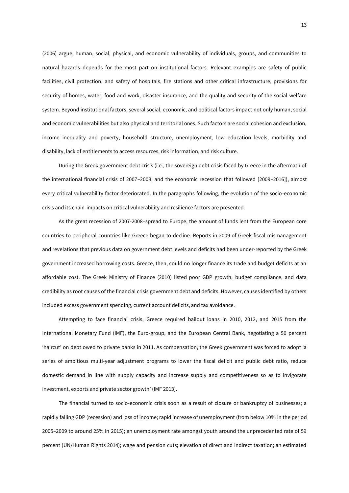(2006) argue, human, social, physical, and economic vulnerability of individuals, groups, and communities to natural hazards depends for the most part on institutional factors. Relevant examples are safety of public facilities, civil protection, and safety of hospitals, fire stations and other critical infrastructure, provisions for security of homes, water, food and work, disaster insurance, and the quality and security of the social welfare system. Beyond institutional factors, several social, economic, and political factors impact not only human, social and economic vulnerabilities but also physical and territorial ones. Such factors are social cohesion and exclusion, income inequality and poverty, household structure, unemployment, low education levels, morbidity and disability, lack of entitlements to access resources, risk information, and risk culture.

During the Greek government debt crisis (i.e., the sovereign debt crisis faced by Greece in the aftermath of the international financial crisis of 2007–2008, and the economic recession that followed [2009–2016]), almost every critical vulnerability factor deteriorated. In the paragraphs following, the evolution of the socio-economic crisis and its chain-impacts on critical vulnerability and resilience factors are presented.

As the great recession of 2007-2008–spread to Europe, the amount of funds lent from the European core countries to peripheral countries like Greece began to decline. Reports in 2009 of Greek fiscal mismanagement and revelations that previous data on government debt levels and deficits had been under-reported by the Greek government increased borrowing costs. Greece, then, could no longer finance its trade and budget deficits at an affordable cost. The Greek Ministry of Finance (2010) listed poor GDP growth, budget compliance, and data credibility as root causes of the financial crisis government debt and deficits. However, causes identified by others included excess government spending, current account deficits, and tax avoidance.

Attempting to face financial crisis, Greece required bailout loans in 2010, 2012, and 2015 from the International Monetary Fund (IMF), the Euro-group, and the European Central Bank, negotiating a 50 percent 'haircut' on debt owed to private banks in 2011. As compensation, the Greek government was forced to adopt 'a series of ambitious multi-year adjustment programs to lower the fiscal deficit and public debt ratio, reduce domestic demand in line with supply capacity and increase supply and competitiveness so as to invigorate investment, exports and private sector growth' (IMF 2013).

The financial turned to socio-economic crisis soon as a result of closure or bankruptcy of businesses; a rapidly falling GDP (recession) and loss of income; rapid increase of unemployment (from below 10% in the period 2005–2009 to around 25% in 2015); an unemployment rate amongst youth around the unprecedented rate of 59 percent (UN/Human Rights 2014); wage and pension cuts; elevation of direct and indirect taxation; an estimated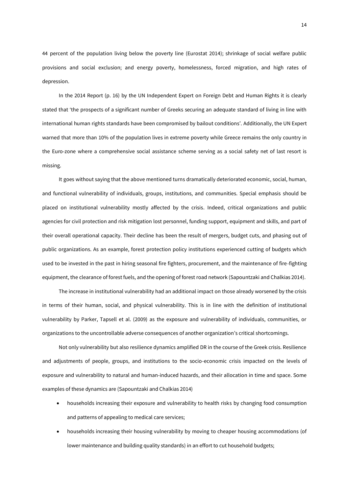44 percent of the population living below the poverty line (Eurostat 2014); shrinkage of social welfare public provisions and social exclusion; and energy poverty, homelessness, forced migration, and high rates of depression.

In the 2014 Report (p. 16) by the UN Independent Expert on Foreign Debt and Human Rights it is clearly stated that 'the prospects of a significant number of Greeks securing an adequate standard of living in line with international human rights standards have been compromised by bailout conditions'. Additionally, the UN Expert warned that more than 10% of the population lives in extreme poverty while Greece remains the only country in the Euro-zone where a comprehensive social assistance scheme serving as a social safety net of last resort is missing.

It goes without saying that the above mentioned turns dramatically deteriorated economic, social, human, and functional vulnerability of individuals, groups, institutions, and communities. Special emphasis should be placed on institutional vulnerability mostly affected by the crisis. Indeed, critical organizations and public agencies for civil protection and risk mitigation lost personnel, funding support, equipment and skills, and part of their overall operational capacity. Their decline has been the result of mergers, budget cuts, and phasing out of public organizations. As an example, forest protection policy institutions experienced cutting of budgets which used to be invested in the past in hiring seasonal fire fighters, procurement, and the maintenance of fire-fighting equipment, the clearance of forest fuels, and the opening of forest road network (Sapountzaki and Chalkias 2014).

The increase in institutional vulnerability had an additional impact on those already worsened by the crisis in terms of their human, social, and physical vulnerability. This is in line with the definition of institutional vulnerability by Parker, Tapsell et al. (2009) as the exposure and vulnerability of individuals, communities, or organizations to the uncontrollable adverse consequences of another organization's critical shortcomings.

Not only vulnerability but also resilience dynamics amplified DR in the course of the Greek crisis. Resilience and adjustments of people, groups, and institutions to the socio-economic crisis impacted on the levels of exposure and vulnerability to natural and human-induced hazards, and their allocation in time and space. Some examples of these dynamics are (Sapountzaki and Chalkias 2014)

- households increasing their exposure and vulnerability to health risks by changing food consumption and patterns of appealing to medical care services;
- households increasing their housing vulnerability by moving to cheaper housing accommodations (of lower maintenance and building quality standards) in an effort to cut household budgets;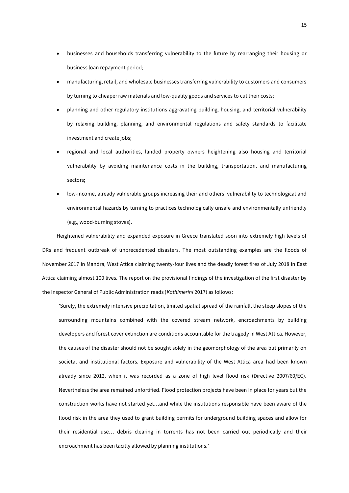- businesses and households transferring vulnerability to the future by rearranging their housing or business loan repayment period;
- manufacturing, retail, and wholesale businesses transferring vulnerability to customers and consumers by turning to cheaper raw materials and low-quality goods and services to cut their costs;
- planning and other regulatory institutions aggravating building, housing, and territorial vulnerability by relaxing building, planning, and environmental regulations and safety standards to facilitate investment and create jobs;
- regional and local authorities, landed property owners heightening also housing and territorial vulnerability by avoiding maintenance costs in the building, transportation, and manufacturing sectors;
- low-income, already vulnerable groups increasing their and others' vulnerability to technological and environmental hazards by turning to practices technologically unsafe and environmentally unfriendly (e.g., wood-burning stoves).

Heightened vulnerability and expanded exposure in Greece translated soon into extremely high levels of DRs and frequent outbreak of unprecedented disasters. The most outstanding examples are the floods of November 2017 in Mandra, West Attica claiming twenty-four lives and the deadly forest fires of July 2018 in East Attica claiming almost 100 lives. The report on the provisional findings of the investigation of the first disaster by the Inspector General of Public Administration reads (*Kathimerini* 2017) as follows:

'Surely, the extremely intensive precipitation, limited spatial spread of the rainfall, the steep slopes of the surrounding mountains combined with the covered stream network, encroachments by building developers and forest cover extinction are conditions accountable for the tragedy in West Attica. However, the causes of the disaster should not be sought solely in the geomorphology of the area but primarily on societal and institutional factors. Exposure and vulnerability of the West Attica area had been known already since 2012, when it was recorded as a zone of high level flood risk (Directive 2007/60/EC). Nevertheless the area remained unfortified. Flood protection projects have been in place for years but the construction works have not started yet…and while the institutions responsible have been aware of the flood risk in the area they used to grant building permits for underground building spaces and allow for their residential use… debris clearing in torrents has not been carried out periodically and their encroachment has been tacitly allowed by planning institutions.'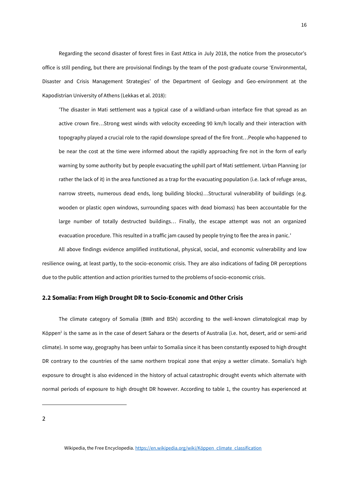Regarding the second disaster of forest fires in East Attica in July 2018, the notice from the prosecutor's office is still pending, but there are provisional findings by the team of the post-graduate course 'Environmental, Disaster and Crisis Management Strategies' of the Department of Geology and Geo-environment at the Kapodistrian University of Athens (Lekkas et al. 2018):

'The disaster in Mati settlement was a typical case of a wildland-urban interface fire that spread as an active crown fire…Strong west winds with velocity exceeding 90 km/h locally and their interaction with topography played a crucial role to the rapid downslope spread of the fire front…People who happened to be near the cost at the time were informed about the rapidly approaching fire not in the form of early warning by some authority but by people evacuating the uphill part of Mati settlement. Urban Planning (or rather the lack of it) in the area functioned as a trap for the evacuating population (i.e. lack of refuge areas, narrow streets, numerous dead ends, long building blocks)…Structural vulnerability of buildings (e.g. wooden or plastic open windows, surrounding spaces with dead biomass) has been accountable for the large number of totally destructed buildings… Finally, the escape attempt was not an organized evacuation procedure. This resulted in a traffic jam caused by people trying to flee the area in panic.'

All above findings evidence amplified institutional, physical, social, and economic vulnerability and low resilience owing, at least partly, to the socio-economic crisis. They are also indications of fading DR perceptions due to the public attention and action priorities turned to the problems of socio-economic crisis.

### **2.2 Somalia: From High Drought DR to Socio-Economic and Other Crisis**

The climate category of Somalia (BWh and BSh) according to the well-known climatological map by Köppen<sup>2</sup> is the same as in the case of desert Sahara or the deserts of Australia (i.e. hot, desert, arid or semi-arid climate). In some way, geography has been unfair to Somalia since it has been constantly exposed to high drought DR contrary to the countries of the same northern tropical zone that enjoy a wetter climate. Somalia's high exposure to drought is also evidenced in the history of actual catastrophic drought events which alternate with normal periods of exposure to high drought DR however. According to table 1, the country has experienced at

.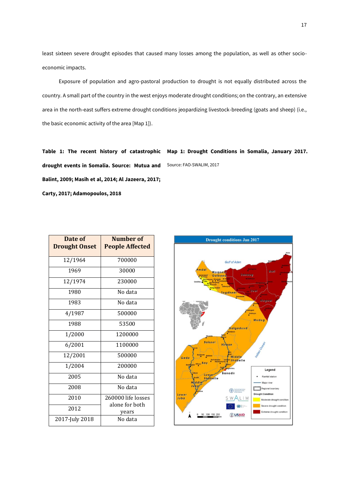least sixteen severe drought episodes that caused many losses among the population, as well as other socioeconomic impacts.

Exposure of population and agro-pastoral production to drought is not equally distributed across the country. A small part of the country in the west enjoys moderate drought conditions; on the contrary, an extensive area in the north-east suffers extreme drought conditions jeopardizing livestock-breeding (goats and sheep) (i.e., the basic economic activity of the area [Map 1]).

**Table 1: The recent history of catastrophic drought events in Somalia. Source: Mutua and Balint, 2009; Masih et al, 2014; Al Jazeera, 2017; Carty, 2017; Adamopoulos, 2018**

**Map 1: Drought Conditions in Somalia, January 2017.** Source: FAO-SWALIM, 2017

| Date of<br><b>Drought Onset</b> | <b>Number of</b><br><b>People Affected</b> |
|---------------------------------|--------------------------------------------|
| 12/1964                         | 700000                                     |
| 1969                            | 30000                                      |
| 12/1974                         | 230000                                     |
| 1980                            | No data                                    |
| 1983                            | No data                                    |
| 4/1987                          | 500000                                     |
| 1988                            | 53500                                      |
| 1/2000                          | 1200000                                    |
| 6/2001                          | 1100000                                    |
| 12/2001                         | 500000                                     |
| 1/2004                          | 200000                                     |
| 2005                            | No data                                    |
| 2008                            | No data                                    |
| 2010                            | 260000 life losses                         |
| 2012                            | alone for both<br>years                    |
| 2017-July 2018                  | No data                                    |

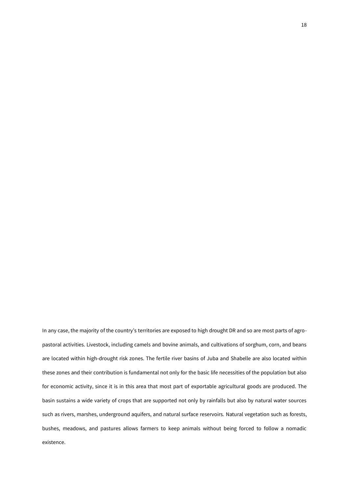In any case, the majority of the country's territories are exposed to high drought DR and so are most parts of agropastoral activities. Livestock, including camels and bovine animals, and cultivations of sorghum, corn, and beans are located within high-drought risk zones. The fertile river basins of Juba and Shabelle are also located within these zones and their contribution is fundamental not only for the basic life necessities of the population but also for economic activity, since it is in this area that most part of exportable agricultural goods are produced. The basin sustains a wide variety of crops that are supported not only by rainfalls but also by natural water sources such as rivers, marshes, underground aquifers, and natural surface reservoirs. Natural vegetation such as forests, bushes, meadows, and pastures allows farmers to keep animals without being forced to follow a nomadic existence.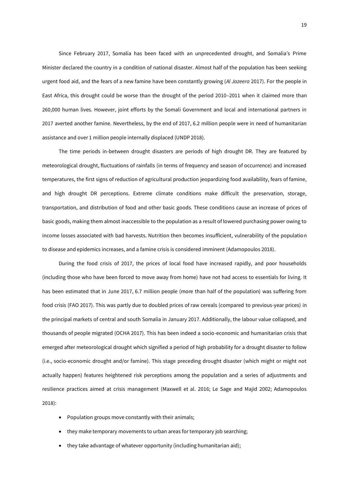Since February 2017, Somalia has been faced with an unprecedented drought, and Somalia's Prime Minister declared the country in a condition of national disaster. Almost half of the population has been seeking urgent food aid, and the fears of a new famine have been constantly growing (*Al Jazeera* 2017). For the people in East Africa, this drought could be worse than the drought of the period 2010–2011 when it claimed more than 260,000 human lives. However, joint efforts by the Somali Government and local and international partners in 2017 averted another famine. Nevertheless, by the end of 2017, 6.2 million people were in need of humanitarian assistance and over 1 million people internally displaced (UNDP 2018).

The time periods in-between drought disasters are periods of high drought DR. They are featured by meteorological drought, fluctuations of rainfalls (in terms of frequency and season of occurrence) and increased temperatures, the first signs of reduction of agricultural production jeopardizing food availability, fears of famine, and high drought DR perceptions. Extreme climate conditions make difficult the preservation, storage, transportation, and distribution of food and other basic goods. These conditions cause an increase of prices of basic goods, making them almost inaccessible to the population as a result of lowered purchasing power owing to income losses associated with bad harvests. Nutrition then becomes insufficient, vulnerability of the population to disease and epidemics increases, and a famine crisis is considered imminent (Adamopoulos 2018).

During the food crisis of 2017, the prices of local food have increased rapidly, and poor households (including those who have been forced to move away from home) have not had access to essentials for living. It has been estimated that in June 2017, 6.7 million people (more than half of the population) was suffering from food crisis (FAO 2017). This was partly due to doubled prices of raw cereals (compared to previous-year prices) in the principal markets of central and south Somalia in January 2017. Additionally, the labour value collapsed, and thousands of people migrated (OCHA 2017). This has been indeed a socio-economic and humanitarian crisis that emerged after meteorological drought which signified a period of high probability for a drought disaster to follow (i.e., socio-economic drought and/or famine). This stage preceding drought disaster (which might or might not actually happen) features heightened risk perceptions among the population and a series of adjustments and resilience practices aimed at crisis management (Maxwell et al. 2016; Le Sage and Majid 2002; Adamopoulos 2018):

- Population groups move constantly with their animals;
- they make temporary movements to urban areas for temporary job searching;
- they take advantage of whatever opportunity (including humanitarian aid);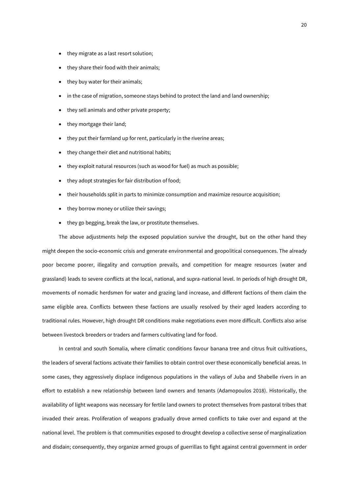- they migrate as a last resort solution;
- they share their food with their animals;
- they buy water for their animals;
- in the case of migration, someone stays behind to protect the land and land ownership;
- they sell animals and other private property;
- they mortgage their land;
- they put their farmland up for rent, particularly in the riverine areas;
- they change their diet and nutritional habits;
- they exploit natural resources (such as wood for fuel) as much as possible;
- they adopt strategies for fair distribution of food;
- their households split in parts to minimize consumption and maximize resource acquisition;
- they borrow money or utilize their savings;
- they go begging, break the law, or prostitute themselves.

The above adjustments help the exposed population survive the drought, but on the other hand they might deepen the socio-economic crisis and generate environmental and geopolitical consequences. The already poor become poorer, illegality and corruption prevails, and competition for meagre resources (water and grassland) leads to severe conflicts at the local, national, and supra-national level. In periods of high drought DR, movements of nomadic herdsmen for water and grazing land increase, and different factions of them claim the same eligible area. Conflicts between these factions are usually resolved by their aged leaders according to traditional rules. However, high drought DR conditions make negotiations even more difficult. Conflicts also arise between livestock breeders or traders and farmers cultivating land for food.

In central and south Somalia, where climatic conditions favour banana tree and citrus fruit cultivations, the leaders of several factions activate their families to obtain control over these economically beneficial areas. In some cases, they aggressively displace indigenous populations in the valleys of Juba and Shabelle rivers in an effort to establish a new relationship between land owners and tenants (Adamopoulos 2018). Historically, the availability of light weapons was necessary for fertile land owners to protect themselves from pastoral tribes that invaded their areas. Proliferation of weapons gradually drove armed conflicts to take over and expand at the national level. The problem is that communities exposed to drought develop a collective sense of marginalization and disdain; consequently, they organize armed groups of guerrillas to fight against central government in order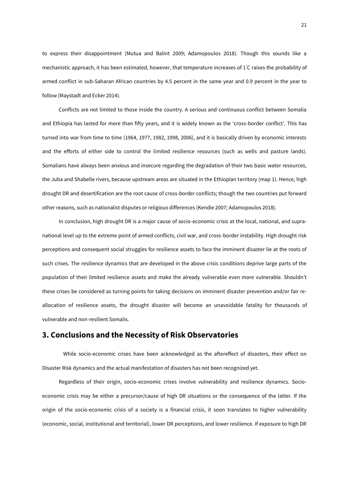to express their disappointment (Mutua and Balint 2009; Adamopoulos 2018). Though this sounds like a mechanistic approach, it has been estimated, however, that temperature increases of 1°C raises the probability of armed conflict in sub-Saharan African countries by 4.5 percent in the same year and 0.9 percent in the year to follow (Maystadt and Ecker 2014).

Conflicts are not limited to those inside the country. A serious and continuous conflict between Somalia and Ethiopia has lasted for more than fifty years, and it is widely known as the 'cross-border conflict'. This has turned into war from time to time (1964, 1977, 1982, 1998, 2006), and it is basically driven by economic interests and the efforts of either side to control the limited resilience resources (such as wells and pasture lands). Somalians have always been anxious and insecure regarding the degradation of their two basic water resources, the Juba and Shabelle rivers, because upstream areas are situated in the Ethiopian territory (map 1). Hence, high drought DR and desertification are the root cause of cross-border conflicts; though the two countries put forward other reasons, such as nationalist disputes or religious differences (Kendie 2007; Adamopoulos 2018).

In conclusion, high drought DR is a major cause of socio-economic crisis at the local, national, and supranational level up to the extreme point of armed conflicts, civil war, and cross-border instability. High drought risk perceptions and consequent social struggles for resilience assets to face the imminent disaster lie at the roots of such crises. The resilience dynamics that are developed in the above crisis conditions deprive large parts of the population of their limited resilience assets and make the already vulnerable even more vulnerable. Shouldn't these crises be considered as turning points for taking decisions on imminent disaster prevention and/or fair reallocation of resilience assets, the drought disaster will become an unavoidable fatality for thousands of vulnerable and non-resilient Somalis.

# **3. Conclusions and the Necessity of Risk Observatories**

While socio-economic crises have been acknowledged as the aftereffect of disasters, their effect on Disaster Risk dynamics and the actual manifestation of disasters has not been recognized yet.

Regardless of their origin, socio-economic crises involve vulnerability and resilience dynamics. Socioeconomic crisis may be either a precursor/cause of high DR situations or the consequence of the latter. If the origin of the socio-economic crisis of a society is a financial crisis, it soon translates to higher vulnerability (economic, social, institutional and territorial), lower DR perceptions, and lower resilience. If exposure to high DR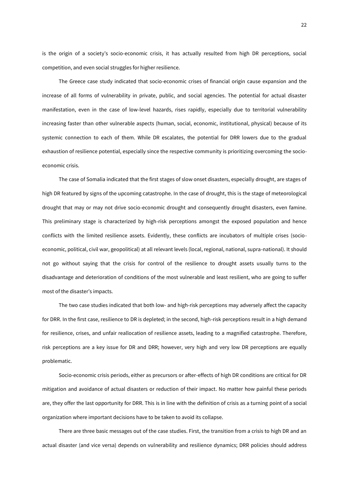is the origin of a society's socio-economic crisis, it has actually resulted from high DR perceptions, social competition, and even social struggles for higher resilience.

The Greece case study indicated that socio-economic crises of financial origin cause expansion and the increase of all forms of vulnerability in private, public, and social agencies. The potential for actual disaster manifestation, even in the case of low-level hazards, rises rapidly, especially due to territorial vulnerability increasing faster than other vulnerable aspects (human, social, economic, institutional, physical) because of its systemic connection to each of them. While DR escalates, the potential for DRR lowers due to the gradual exhaustion of resilience potential, especially since the respective community is prioritizing overcoming the socioeconomic crisis.

The case of Somalia indicated that the first stages of slow onset disasters, especially drought, are stages of high DR featured by signs of the upcoming catastrophe. In the case of drought, this is the stage of meteorological drought that may or may not drive socio-economic drought and consequently drought disasters, even famine. This preliminary stage is characterized by high-risk perceptions amongst the exposed population and hence conflicts with the limited resilience assets. Evidently, these conflicts are incubators of multiple crises (socioeconomic, political, civil war, geopolitical) at all relevant levels (local, regional, national, supra-national). It should not go without saying that the crisis for control of the resilience to drought assets usually turns to the disadvantage and deterioration of conditions of the most vulnerable and least resilient, who are going to suffer most of the disaster's impacts.

The two case studies indicated that both low- and high-risk perceptions may adversely affect the capacity for DRR. In the first case, resilience to DR is depleted; in the second, high-risk perceptions result in a high demand for resilience, crises, and unfair reallocation of resilience assets, leading to a magnified catastrophe. Therefore, risk perceptions are a key issue for DR and DRR; however, very high and very low DR perceptions are equally problematic.

Socio-economic crisis periods, either as precursors or after-effects of high DR conditions are critical for DR mitigation and avoidance of actual disasters or reduction of their impact. No matter how painful these periods are, they offer the last opportunity for DRR. This is in line with the definition of crisis as a turning point of a social organization where important decisions have to be taken to avoid its collapse.

There are three basic messages out of the case studies. First, the transition from a crisis to high DR and an actual disaster (and vice versa) depends on vulnerability and resilience dynamics; DRR policies should address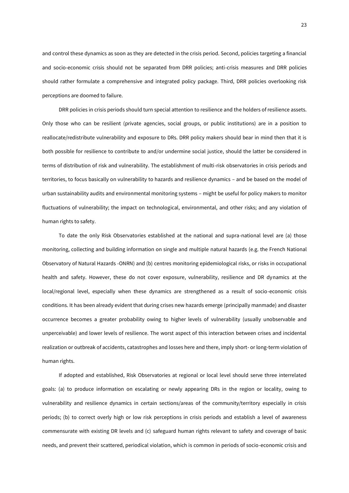and control these dynamics as soon as they are detected in the crisis period. Second, policies targeting a financial and socio-economic crisis should not be separated from DRR policies; anti-crisis measures and DRR policies should rather formulate a comprehensive and integrated policy package. Third, DRR policies overlooking risk perceptions are doomed to failure.

DRR policies in crisis periods should turn special attention to resilience and the holders of resilience assets. Only those who can be resilient (private agencies, social groups, or public institutions) are in a position to reallocate/redistribute vulnerability and exposure to DRs. DRR policy makers should bear in mind then that it is both possible for resilience to contribute to and/or undermine social justice, should the latter be considered in terms of distribution of risk and vulnerability. The establishment of multi-risk observatories in crisis periods and territories, to focus basically on vulnerability to hazards and resilience dynamics – and be based on the model of urban sustainability audits and environmental monitoring systems – might be useful for policy makers to monitor fluctuations of vulnerability; the impact on technological, environmental, and other risks; and any violation of human rights to safety.

To date the only Risk Observatories established at the national and supra-national level are (a) those monitoring, collecting and building information on single and multiple natural hazards (e.g. the French National Observatory of Natural Hazards -ONRN) and (b) centres monitoring epidemiological risks, or risks in occupational health and safety. However, these do not cover exposure, vulnerability, resilience and DR dynamics at the local/regional level, especially when these dynamics are strengthened as a result of socio-economic crisis conditions. It has been already evident that during crises new hazards emerge (principally manmade) and disaster occurrence becomes a greater probability owing to higher levels of vulnerability (usually unobservable and unperceivable) and lower levels of resilience. The worst aspect of this interaction between crises and incidental realization or outbreak of accidents, catastrophes and losses here and there, imply short- or long-term violation of human rights.

If adopted and established, Risk Observatories at regional or local level should serve three interrelated goals: (a) to produce information on escalating or newly appearing DRs in the region or locality, owing to vulnerability and resilience dynamics in certain sections/areas of the community/territory especially in crisis periods; (b) to correct overly high or low risk perceptions in crisis periods and establish a level of awareness commensurate with existing DR levels and (c) safeguard human rights relevant to safety and coverage of basic needs, and prevent their scattered, periodical violation, which is common in periods of socio-economic crisis and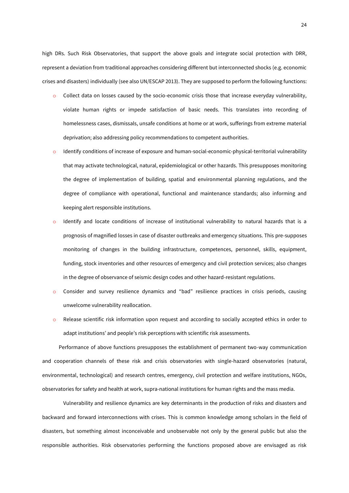high DRs. Such Risk Observatories, that support the above goals and integrate social protection with DRR, represent a deviation from traditional approaches considering different but interconnected shocks (e.g. economic crises and disasters) individually (see also UN/ESCAP 2013). They are supposed to perform the following functions:

- $\circ$  Collect data on losses caused by the socio-economic crisis those that increase everyday vulnerability, violate human rights or impede satisfaction of basic needs. This translates into recording of homelessness cases, dismissals, unsafe conditions at home or at work, sufferings from extreme material deprivation; also addressing policy recommendations to competent authorities.
- o Identify conditions of increase of exposure and human-social-economic-physical-territorial vulnerability that may activate technological, natural, epidemiological or other hazards. This presupposes monitoring the degree of implementation of building, spatial and environmental planning regulations, and the degree of compliance with operational, functional and maintenance standards; also informing and keeping alert responsible institutions.
- Identify and locate conditions of increase of institutional vulnerability to natural hazards that is a prognosis of magnified losses in case of disaster outbreaks and emergency situations. This pre-supposes monitoring of changes in the building infrastructure, competences, personnel, skills, equipment, funding, stock inventories and other resources of emergency and civil protection services; also changes in the degree of observance of seismic design codes and other hazard-resistant regulations.
- o Consider and survey resilience dynamics and "bad" resilience practices in crisis periods, causing unwelcome vulnerability reallocation.
- Release scientific risk information upon request and according to socially accepted ethics in order to adapt institutions' and people's risk perceptions with scientific risk assessments.

Performance of above functions presupposes the establishment of permanent two-way communication and cooperation channels of these risk and crisis observatories with single-hazard observatories (natural, environmental, technological) and research centres, emergency, civil protection and welfare institutions, NGOs, observatories for safety and health at work, supra-national institutions for human rights and the mass media.

Vulnerability and resilience dynamics are key determinants in the production of risks and disasters and backward and forward interconnections with crises. This is common knowledge among scholars in the field of disasters, but something almost inconceivable and unobservable not only by the general public but also the responsible authorities. Risk observatories performing the functions proposed above are envisaged as risk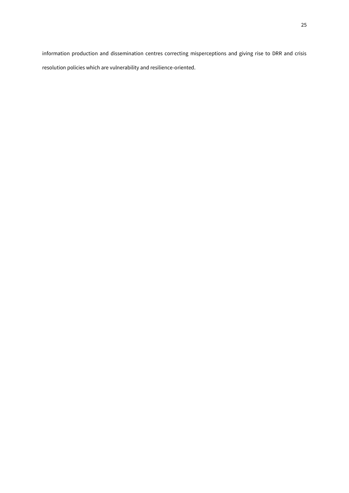information production and dissemination centres correcting misperceptions and giving rise to DRR and crisis resolution policies which are vulnerability and resilience-oriented.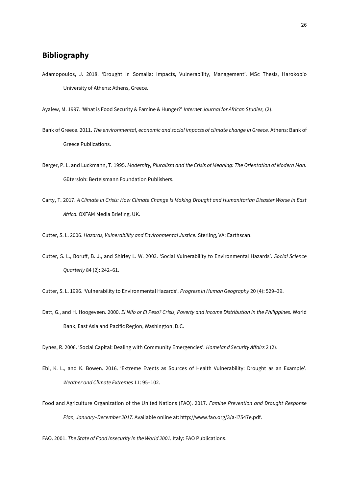# **Bibliography**

Adamopoulos, J. 2018. 'Drought in Somalia: Impacts, Vulnerability, Management'. MSc Thesis, Harokopio University of Athens: Athens, Greece.

Ayalew, M. 1997. 'What is Food Security & Famine & Hunger?' *Internet Journal for African Studies,* (2).

- Bank of Greece. 2011. *The environmental, economic and social impacts of climate change in Greece.* Athens: Bank of Greece Publications.
- Berger, P. L. and Luckmann, T. 1995. *Modernity, Pluralism and the Crisis of Meaning: The Orientation of Modern Man.* Gütersloh: Bertelsmann Foundation Publishers.
- Carty, T. 2017. *A Climate in Crisis: How Climate Change Is Making Drought and Humanitarian Disaster Worse in East Africa.* OXFAM Media Briefing. UK.

Cutter, S. L. 2006. *Hazards, Vulnerability and Environmental Justice.* Sterling, VA: Earthscan.

Cutter, S. L., Boruff, B. J., and Shirley L. W. 2003. 'Social Vulnerability to Environmental Hazards'. *Social Science Quarterly* 84 (2): 242–61.

Cutter, S. L. 1996. 'Vulnerability to Environmental Hazards'. *Progress in Human Geography* 20 (4): 529–39.

Datt, G., and H. Hoogeveen. 2000. *El Nifo or El Peso? Crisis, Poverty and Income Distribution in the Philippines.* World Bank, East Asia and Pacific Region, Washington, D.C.

Dynes, R. 2006. 'Social Capital: Dealing with Community Emergencies'. *Homeland Security Affairs* 2 (2).

- Ebi, K. L., and K. Bowen. 2016. 'Extreme Events as Sources of Health Vulnerability: Drought as an Example'. *Weather and Climate Extremes* 11: 95–102.
- Food and Agriculture Organization of the United Nations (FAO). 2017. *Famine Prevention and Drought Response Plan, January–December 2017.* Available online at: http://www.fao.org/3/a-i7547e.pdf.

FAO. 2001. *The State of Food Insecurity in the World 2001.* Italy: FAO Publications.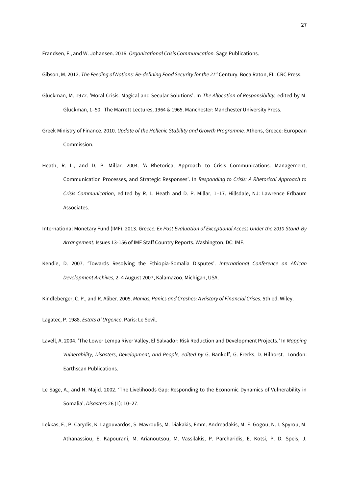Frandsen, F., and W. Johansen. 2016. *Organizational Crisis Communication.* Sage Publications.

Gibson, M. 2012. *The Feeding of Nations: Re-defining Food Security for the 21st* Century*.* Boca Raton, FL: CRC Press.

- Gluckman, M. 1972. 'Moral Crisis: Magical and Secular Solutions'. In *The Allocation of Responsibility,* edited by M. Gluckman, 1–50. The Marrett Lectures, 1964 & 1965. Manchester: Manchester University Press.
- Greek Ministry of Finance. 2010. *Update of the Hellenic Stability and Growth Programme.* Athens, Greece: European Commission.
- Heath, R. L., and D. P. Millar. 2004. 'A Rhetorical Approach to Crisis Communications: Management, Communication Processes, and Strategic Responses'. In *Responding to Crisis: A Rhetorical Approach to Crisis Communication*, edited by R. L. Heath and D. P. Millar, 1–17. Hillsdale, NJ: Lawrence Erlbaum Associates.
- International Monetary Fund (IMF). 2013. *Greece: Ex Post Evaluation of Exceptional Access Under the 2010 Stand-By Arrangement.* Issues 13-156 of IMF Staff Country Reports. Washington, DC: IMF.
- Kendie, D. 2007. 'Towards Resolving the Ethiopia-Somalia Disputes'. *International Conference on African Development Archives,* 2–4 August 2007, Kalamazoo, Michigan, USA.

Kindleberger, C. P., and R. Aliber. 2005. *Manias, Panics and Crashes: A History of Financial Crises.* 5th ed. Wiley.

- Lagatec, P. 1988. *Estats d' Urgence*. Paris: Le Sevil.
- Lavell, A. 2004. 'The Lower Lempa River Valley, El Salvador: Risk Reduction and Development Projects.' In *Mapping Vulnerability, Disasters, Development, and People, edited by* G. Bankoff, G. Frerks, D. Hilhorst. London: Earthscan Publications.
- Le Sage, A., and N. Majid. 2002. 'The Livelihoods Gap: Responding to the Economic Dynamics of Vulnerability in Somalia'. *Disasters* 26 (1): 10–27.
- Lekkas, E., P. Carydis, K. Lagouvardos, S. Mavroulis, M. Diakakis, Emm. Andreadakis, M. E. Gogou, N. I. Spyrou, M. Athanassiou, E. Kapourani, M. Arianoutsou, M. Vassilakis, P. Parcharidis, E. Kotsi, P. D. Speis, J.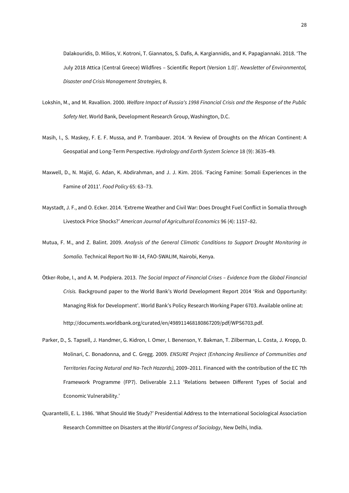Dalakouridis, D. Milios, V. Kotroni, T. Giannatos, S. Dafis, A. Kargiannidis, and K. Papagiannaki. 2018. 'The July 2018 Attica (Central Greece) Wildfires – Scientific Report (Version 1.0)'. *Newsletter of Environmental, Disaster and Crisis Management Strategies,* 8.

- Lokshin, M., and M. Ravallion. 2000. *Welfare Impact of Russia's 1998 Financial Crisis and the Response of the Public Safety Net*. World Bank, Development Research Group, Washington, D.C.
- Masih, I., S. Maskey, F. E. F. Mussa, and P. Trambauer. 2014. 'A Review of Droughts on the African Continent: A Geospatial and Long-Term Perspective. *Hydrology and Earth System Science* 18 (9): 3635–49*.*
- Maxwell, D., N. Majid, G. Adan, K. Abdirahman, and J. J. Kim. 2016. 'Facing Famine: Somali Experiences in the Famine of 2011'. *Food Policy* 65: 63–73.
- Maystadt, J. F., and O. Ecker. 2014. 'Extreme Weather and Civil War: Does Drought Fuel Conflict in Somalia through Livestock Price Shocks?' *American Journal of Agricultural Economics* 96 (4): 1157–82.
- Mutua, F. M., and Z. Balint. 2009. *Analysis of the General Climatic Conditions to Support Drought Monitoring in Somalia.* Technical Report No W-14, FAO-SWALIM, Nairobi, Kenya.
- Ötker-Robe, I., and A. M. Podpiera. 2013. *The Social Impact of Financial Crises – Evidence from the Global Financial Crisis.* Background paper to the World Bank's World Development Report 2014 'Risk and Opportunity: Managing Risk for Development'. World Bank's Policy Research Working Paper 6703. Available online at: http://documents.worldbank.org/curated/en/498911468180867209/pdf/WPS6703.pdf.
- Parker, D., S. Tapsell, J. Handmer, G. Kidron, I. Omer, I. Benenson, Y. Bakman, T. Zilberman, L. Costa, J. Kropp, D. Molinari, C. Bonadonna, and C. Gregg. 2009. *ENSURE Project (Enhancing Resilience of Communities and Territories Facing Natural and Na-Tech Hazards),* 2009–2011. Financed with the contribution of the EC 7th Framework Programme (FP7). Deliverable 2.1.1 'Relations between Different Types of Social and Economic Vulnerability.'
- Quarantelli, E. L. 1986. 'What Should We Study?' Presidential Address to the International Sociological Association Research Committee on Disasters at the *World Congress of Sociology*, New Delhi, India.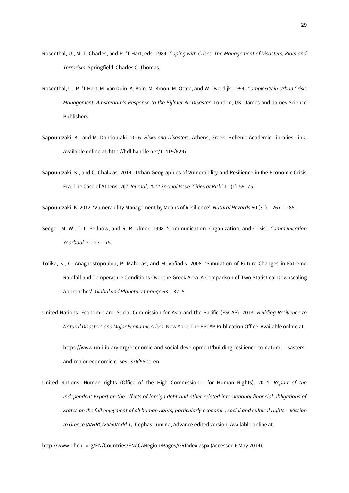- Rosenthal, U., M. T. Charles, and P. 'T Hart, eds. 1989. *Coping with Crises: The Management of Disasters, Riots and Terrorism.* Springfield: Charles C. Thomas.
- Rosenthal, U., P. 'T Hart, M. van Duin, A. Boin, M. Kroon, M. Otten, and W. Overdijk. 1994. *Complexity in Urban Crisis Management: Amsterdam's Response to the Bijlmer Air Disaster.* London, UK: James and James Science Publishers.
- Sapountzaki, K., and M. Dandoulaki. 2016. *Risks and Disasters*. Athens, Greek: Hellenic Academic Libraries Link. Available online at: http://hdl.handle.net/11419/6297.
- Sapountzaki, K., and C. Chalkias. 2014. 'Urban Geographies of Vulnerability and Resilience in the Economic Crisis Era: The Case of Athens'. *A|Z Journal, 2014 Special Issue 'Cities at Risk'* 11 (1): 59–75.

Sapountzaki, K. 2012. 'Vulnerability Management by Means of Resilience'. *Natural Hazards* 60 (31): 1267–1285.

- Seeger, M. W., T. L. Sellnow, and R. R. Ulmer. 1998. 'Communication, Organization, and Crisis'. *Communication Yearbook* 21: 231–75.
- Tolika, K., C. Anagnostopoulou, P. Maheras, and M. Vafiadis. 2008. 'Simulation of Future Changes in Extreme Rainfall and Temperature Conditions Over the Greek Area: A Comparison of Two Statistical Downscaling Approaches'. *Global and Planetary Change* 63: 132–51.
- United Nations, Economic and Social Commission for Asia and the Pacific (ESCAP). 2013. *Building Resilience to Natural Disasters and Major Economic crises.* New York: The ESCAP Publication Office. Available online at:

https://www.un-ilibrary.org/economic-and-social-development/building-resilience-to-natural-disastersand-major-economic-crises\_376f55be-en

United Nations, Human rights (Office of the High Commissioner for Human Rights). 2014. *Report of the Independent Expert on the effects of foreign debt and other related international financial obligations of States on the full enjoyment of all human rights, particularly economic, social and cultural rights - Mission to Greece (A/HRC/25/50/Add.1).* Cephas Lumina, Advance edited version. Available online at:

http://www.ohchr.org/EN/Countries/ENACARegion/Pages/GRIndex.aspx (Accessed 6 May 2014).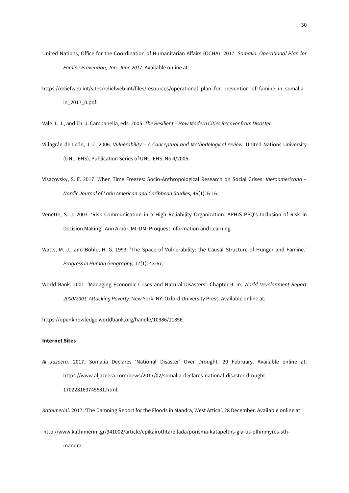- United Nations, Office for the Coordination of Humanitarian Affairs (OCHA). 2017. *Somalia: Operational Plan for Famine Prevention, Jan–June 2017.* Available online at:
- https://reliefweb.int/sites/reliefweb.int/files/resources/operational\_plan\_for\_prevention\_of\_famine\_in\_somalia\_ in\_2017\_0.pdf.

Vale, L. J., and Th. J. Campanella, eds. 2005. *The Resilient – How Modern Cities Recover from Disaster*.

- Villagrán de León, J. C. 2006. *Vulnerability – A Conceptual and Methodological review.* United Nations University (UNU-EHS), Publication Series of UNU-EHS, No 4/2006.
- Visacovsky, S. E. 2017. When Time Freezes: Socio-Anthropological Research on Social Crises. *Iberoamericana – Nordic Journal of Latin American and Caribbean Studies,* 46(1): 6-16.
- Venette, S. J. 2003. 'Risk Communication in a High Reliability Organization: APHIS PPQ's Inclusion of Risk in Decision Making'. Ann Arbor, MI: UMI Proquest Information and Learning.
- Watts, M. J., and Bohle, H.-G. 1993. 'The Space of Vulnerability: the Causal Structure of Hunger and Famine.' *Progress in Human Geography,* 17(1): 43-67.
- World Bank. 2001. 'Managing Economic Crises and Natural Disasters'. Chapter 9. In: *World Development Report 2000/2001: Attacking Poverty.* New York, NY: Oxford University Press. Available online at:

https://openknowledge.worldbank.org/handle/10986/11856.

#### **Internet Sites**

*Al Jazeera*. 2017. Somalia Declares 'National Disaster' Over Drought. 20 February. Available online at: https://www.aljazeera.com/news/2017/02/somalia-declares-national-disaster-drought-170228163745581.html.

*Kathimerini*. 2017. 'The Damning Report for the Floods in Mandra, West Attica'. 28 December. Available online at:

http://www.kathimerini.gr/941002/article/epikairothta/ellada/porisma-katapelths-gia-tis-plhmmyres-sthmandra.